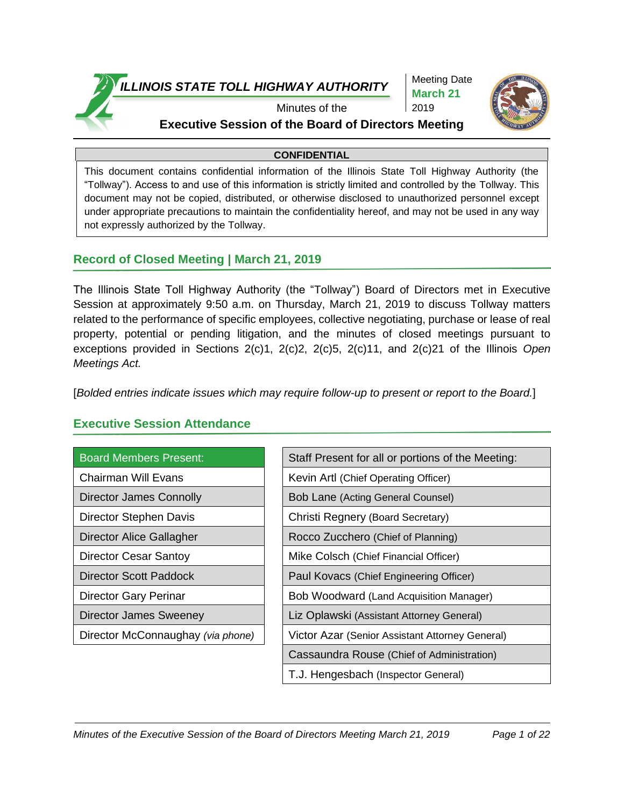

Meeting Date **March 21** 2019



## Minutes of the **Executive Session of the Board of Directors Meeting**

#### **CONFIDENTIAL**

This document contains confidential information of the Illinois State Toll Highway Authority (the "Tollway"). Access to and use of this information is strictly limited and controlled by the Tollway. This document may not be copied, distributed, or otherwise disclosed to unauthorized personnel except under appropriate precautions to maintain the confidentiality hereof, and may not be used in any way not expressly authorized by the Tollway.

## **Record of Closed Meeting | March 21, 2019**

The Illinois State Toll Highway Authority (the "Tollway") Board of Directors met in Executive Session at approximately 9:50 a.m. on Thursday, March 21, 2019 to discuss Tollway matters related to the performance of specific employees, collective negotiating, purchase or lease of real property, potential or pending litigation, and the minutes of closed meetings pursuant to exceptions provided in Sections 2(c)1, 2(c)2, 2(c)5, 2(c)11, and 2(c)21 of the Illinois *Open Meetings Act.*

[*Bolded entries indicate issues which may require follow-up to present or report to the Board.*]

| <b>Board Members Present:</b>     | Staff Present for all or portions of the Meeting: |
|-----------------------------------|---------------------------------------------------|
| Chairman Will Evans               | Kevin Artl (Chief Operating Officer)              |
| Director James Connolly           | <b>Bob Lane (Acting General Counsel)</b>          |
| Director Stephen Davis            | Christi Regnery (Board Secretary)                 |
| Director Alice Gallagher          | Rocco Zucchero (Chief of Planning)                |
| Director Cesar Santoy             | Mike Colsch (Chief Financial Officer)             |
| <b>Director Scott Paddock</b>     | Paul Kovacs (Chief Engineering Officer)           |
| Director Gary Perinar             | Bob Woodward (Land Acquisition Manager)           |
| <b>Director James Sweeney</b>     | Liz Oplawski (Assistant Attorney General)         |
| Director McConnaughay (via phone) | Victor Azar (Senior Assistant Attorney General)   |
|                                   | Cassaundra Rouse (Chief of Administration)        |
|                                   | T.J. Hengesbach (Inspector General)               |

# **Executive Session Attendance**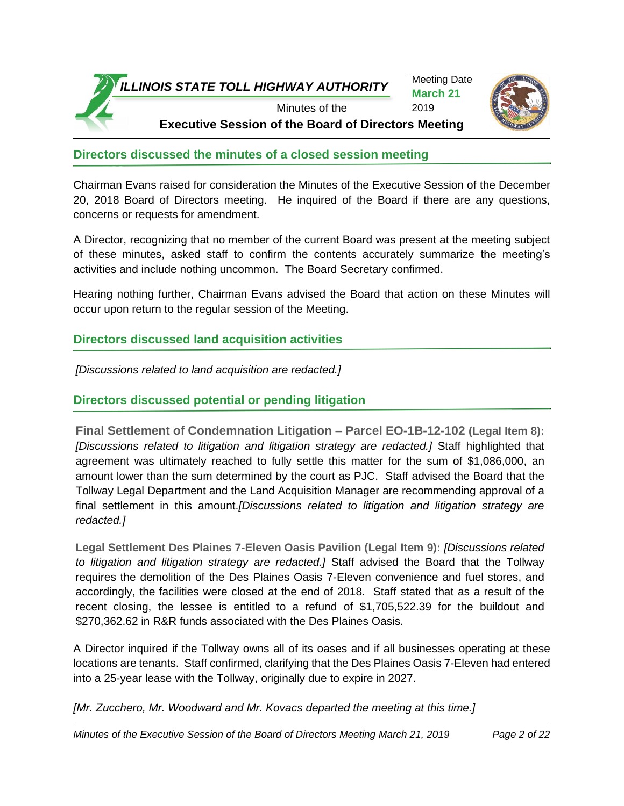

Meeting Date **March 21** 2019



**Executive Session of the Board of Directors Meeting**

# **Directors discussed the minutes of a closed session meeting**

Chairman Evans raised for consideration the Minutes of the Executive Session of the December 20, 2018 Board of Directors meeting. He inquired of the Board if there are any questions, concerns or requests for amendment.

A Director, recognizing that no member of the current Board was present at the meeting subject of these minutes, asked staff to confirm the contents accurately summarize the meeting's activities and include nothing uncommon. The Board Secretary confirmed.

Hearing nothing further, Chairman Evans advised the Board that action on these Minutes will occur upon return to the regular session of the Meeting.

# **Directors discussed land acquisition activities**

*[Discussions related to land acquisition are redacted.]* 

# **Directors discussed potential or pending litigation**

**Final Settlement of Condemnation Litigation – Parcel EO-1B-12-102 (Legal Item 8):** *[Discussions related to litigation and litigation strategy are redacted.]* Staff highlighted that agreement was ultimately reached to fully settle this matter for the sum of \$1,086,000, an amount lower than the sum determined by the court as PJC. Staff advised the Board that the Tollway Legal Department and the Land Acquisition Manager are recommending approval of a final settlement in this amount.*[Discussions related to litigation and litigation strategy are redacted.]* 

**Legal Settlement Des Plaines 7-Eleven Oasis Pavilion (Legal Item 9):** *[Discussions related to litigation and litigation strategy are redacted.]* Staff advised the Board that the Tollway requires the demolition of the Des Plaines Oasis 7-Eleven convenience and fuel stores, and accordingly, the facilities were closed at the end of 2018. Staff stated that as a result of the recent closing, the lessee is entitled to a refund of \$1,705,522.39 for the buildout and \$270,362.62 in R&R funds associated with the Des Plaines Oasis.

A Director inquired if the Tollway owns all of its oases and if all businesses operating at these locations are tenants. Staff confirmed, clarifying that the Des Plaines Oasis 7-Eleven had entered into a 25-year lease with the Tollway, originally due to expire in 2027.

*[Mr. Zucchero, Mr. Woodward and Mr. Kovacs departed the meeting at this time.]*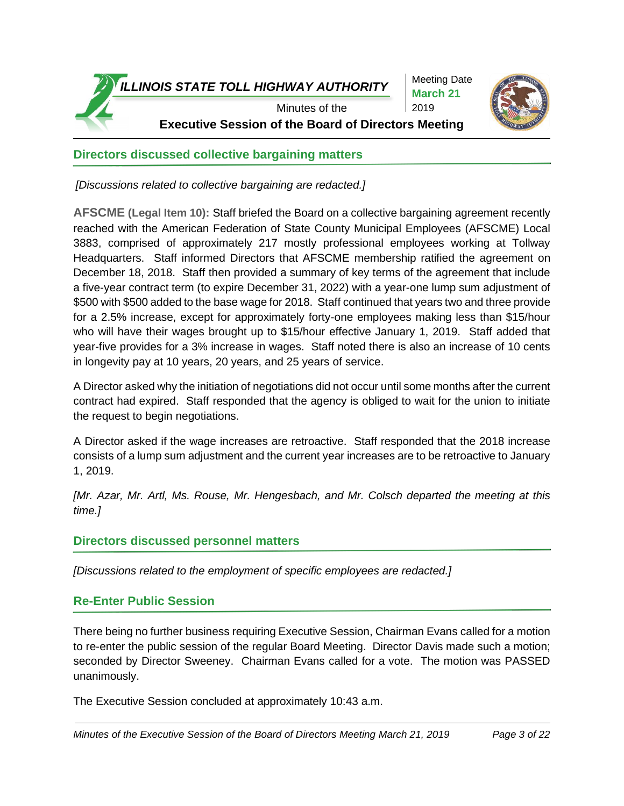

Meeting Date **March 21** 2019



Minutes of the **Executive Session of the Board of Directors Meeting**

# **Directors discussed collective bargaining matters**

*[Discussions related to collective bargaining are redacted.]* 

**AFSCME (Legal Item 10):** Staff briefed the Board on a collective bargaining agreement recently reached with the American Federation of State County Municipal Employees (AFSCME) Local 3883, comprised of approximately 217 mostly professional employees working at Tollway Headquarters. Staff informed Directors that AFSCME membership ratified the agreement on December 18, 2018. Staff then provided a summary of key terms of the agreement that include a five-year contract term (to expire December 31, 2022) with a year-one lump sum adjustment of \$500 with \$500 added to the base wage for 2018. Staff continued that years two and three provide for a 2.5% increase, except for approximately forty-one employees making less than \$15/hour who will have their wages brought up to \$15/hour effective January 1, 2019. Staff added that year-five provides for a 3% increase in wages. Staff noted there is also an increase of 10 cents in longevity pay at 10 years, 20 years, and 25 years of service.

A Director asked why the initiation of negotiations did not occur until some months after the current contract had expired. Staff responded that the agency is obliged to wait for the union to initiate the request to begin negotiations.

A Director asked if the wage increases are retroactive. Staff responded that the 2018 increase consists of a lump sum adjustment and the current year increases are to be retroactive to January 1, 2019.

*[Mr. Azar, Mr. Artl, Ms. Rouse, Mr. Hengesbach, and Mr. Colsch departed the meeting at this time.]*

### **Directors discussed personnel matters**

*[Discussions related to the employment of specific employees are redacted.]*

### **Re-Enter Public Session**

There being no further business requiring Executive Session, Chairman Evans called for a motion to re-enter the public session of the regular Board Meeting. Director Davis made such a motion; seconded by Director Sweeney. Chairman Evans called for a vote. The motion was PASSED unanimously.

The Executive Session concluded at approximately 10:43 a.m.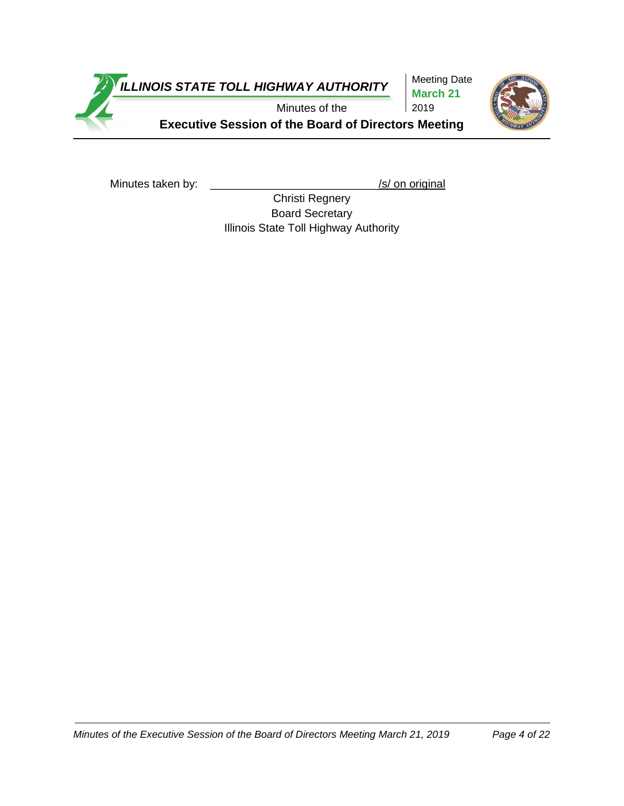

Meeting Date **March 21** 2019



**Executive Session of the Board of Directors Meeting**

Minutes taken by: \_\_\_\_\_\_\_\_\_\_\_\_\_\_\_\_\_\_\_\_\_\_\_\_\_\_\_\_\_\_\_\_\_/s/ on original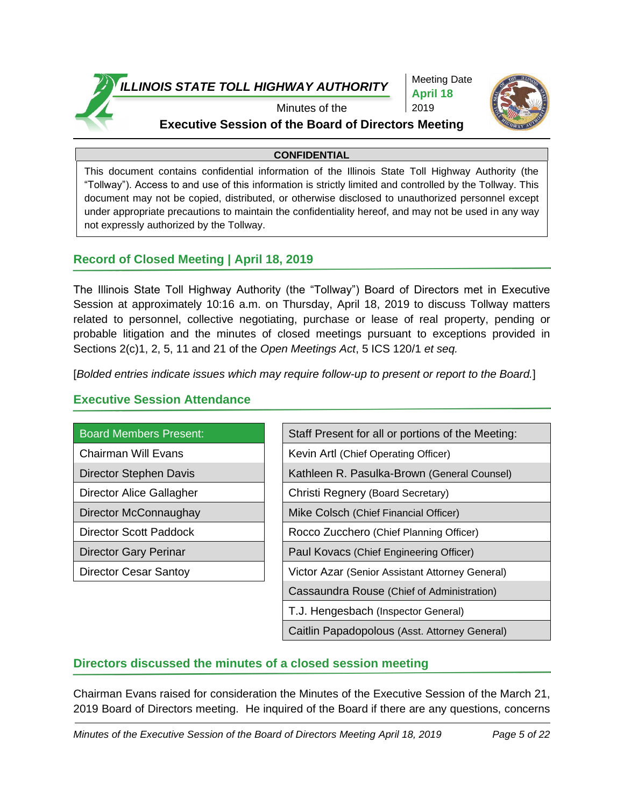

Meeting Date **April 18** 2019



# Minutes of the **Executive Session of the Board of Directors Meeting**

#### **CONFIDENTIAL**

This document contains confidential information of the Illinois State Toll Highway Authority (the "Tollway"). Access to and use of this information is strictly limited and controlled by the Tollway. This document may not be copied, distributed, or otherwise disclosed to unauthorized personnel except under appropriate precautions to maintain the confidentiality hereof, and may not be used in any way not expressly authorized by the Tollway.

# **Record of Closed Meeting | April 18, 2019**

The Illinois State Toll Highway Authority (the "Tollway") Board of Directors met in Executive Session at approximately 10:16 a.m. on Thursday, April 18, 2019 to discuss Tollway matters related to personnel, collective negotiating, purchase or lease of real property, pending or probable litigation and the minutes of closed meetings pursuant to exceptions provided in Sections 2(c)1, 2, 5, 11 and 21 of the *Open Meetings Act*, 5 ICS 120/1 *et seq.*

[*Bolded entries indicate issues which may require follow-up to present or report to the Board.*]

| <b>Board Members Present:</b> | Staff Present for all or portions of the Meeting: |
|-------------------------------|---------------------------------------------------|
| Chairman Will Evans           | Kevin Artl (Chief Operating Officer)              |
| Director Stephen Davis        | Kathleen R. Pasulka-Brown (General Counsel)       |
| Director Alice Gallagher      | Christi Regnery (Board Secretary)                 |
| Director McConnaughay         | Mike Colsch (Chief Financial Officer)             |
| Director Scott Paddock        | Rocco Zucchero (Chief Planning Officer)           |
| Director Gary Perinar         | Paul Kovacs (Chief Engineering Officer)           |
| Director Cesar Santoy         | Victor Azar (Senior Assistant Attorney General)   |
|                               | Cassaundra Rouse (Chief of Administration)        |
|                               | T.J. Hengesbach (Inspector General)               |
|                               | Caitlin Papadopolous (Asst. Attorney General)     |

# **Executive Session Attendance**

# **Directors discussed the minutes of a closed session meeting**

Chairman Evans raised for consideration the Minutes of the Executive Session of the March 21, 2019 Board of Directors meeting. He inquired of the Board if there are any questions, concerns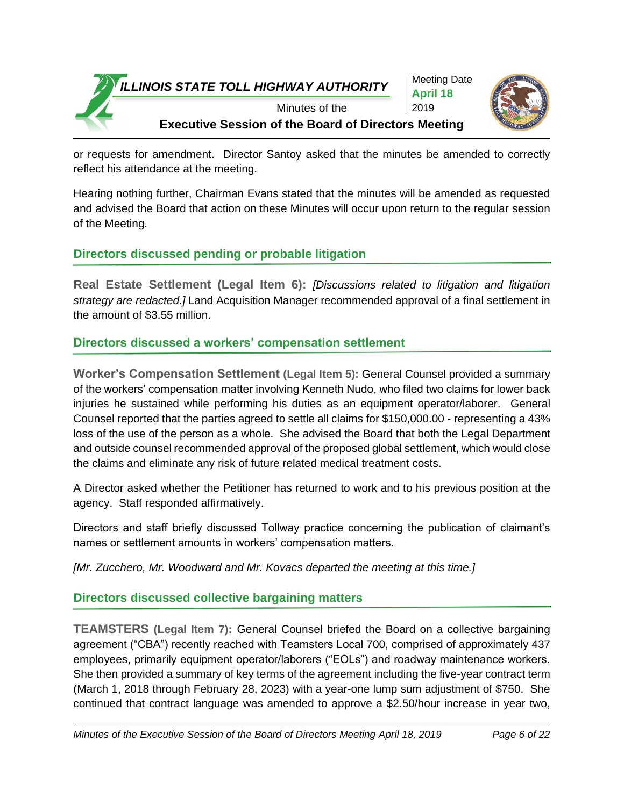



or requests for amendment. Director Santoy asked that the minutes be amended to correctly reflect his attendance at the meeting.

Hearing nothing further, Chairman Evans stated that the minutes will be amended as requested and advised the Board that action on these Minutes will occur upon return to the regular session of the Meeting.

# **Directors discussed pending or probable litigation**

**Real Estate Settlement (Legal Item 6):** *[Discussions related to litigation and litigation strategy are redacted.]* Land Acquisition Manager recommended approval of a final settlement in the amount of \$3.55 million.

# **Directors discussed a workers' compensation settlement**

**Worker's Compensation Settlement (Legal Item 5):** General Counsel provided a summary of the workers' compensation matter involving Kenneth Nudo, who filed two claims for lower back injuries he sustained while performing his duties as an equipment operator/laborer. General Counsel reported that the parties agreed to settle all claims for \$150,000.00 - representing a 43% loss of the use of the person as a whole. She advised the Board that both the Legal Department and outside counsel recommended approval of the proposed global settlement, which would close the claims and eliminate any risk of future related medical treatment costs.

A Director asked whether the Petitioner has returned to work and to his previous position at the agency. Staff responded affirmatively.

Directors and staff briefly discussed Tollway practice concerning the publication of claimant's names or settlement amounts in workers' compensation matters.

*[Mr. Zucchero, Mr. Woodward and Mr. Kovacs departed the meeting at this time.]*

# **Directors discussed collective bargaining matters**

**TEAMSTERS (Legal Item 7):** General Counsel briefed the Board on a collective bargaining agreement ("CBA") recently reached with Teamsters Local 700, comprised of approximately 437 employees, primarily equipment operator/laborers ("EOLs") and roadway maintenance workers. She then provided a summary of key terms of the agreement including the five-year contract term (March 1, 2018 through February 28, 2023) with a year-one lump sum adjustment of \$750. She continued that contract language was amended to approve a \$2.50/hour increase in year two,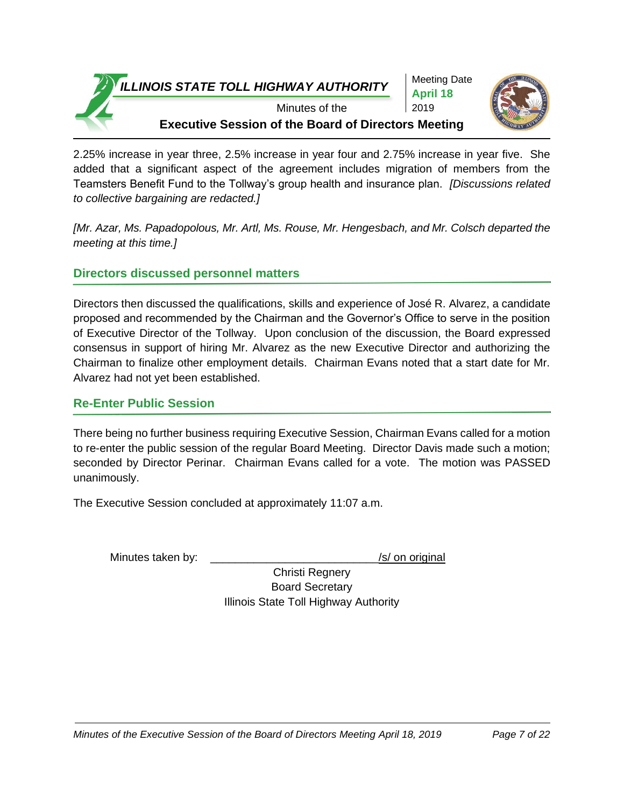

Meeting Date **April 18** 2019



Minutes of the **Executive Session of the Board of Directors Meeting**

2.25% increase in year three, 2.5% increase in year four and 2.75% increase in year five. She added that a significant aspect of the agreement includes migration of members from the Teamsters Benefit Fund to the Tollway's group health and insurance plan. *[Discussions related to collective bargaining are redacted.]* 

*[Mr. Azar, Ms. Papadopolous, Mr. Artl, Ms. Rouse, Mr. Hengesbach, and Mr. Colsch departed the meeting at this time.]*

# **Directors discussed personnel matters**

Directors then discussed the qualifications, skills and experience of José R. Alvarez, a candidate proposed and recommended by the Chairman and the Governor's Office to serve in the position of Executive Director of the Tollway. Upon conclusion of the discussion, the Board expressed consensus in support of hiring Mr. Alvarez as the new Executive Director and authorizing the Chairman to finalize other employment details. Chairman Evans noted that a start date for Mr. Alvarez had not yet been established.

# **Re-Enter Public Session**

There being no further business requiring Executive Session, Chairman Evans called for a motion to re-enter the public session of the regular Board Meeting. Director Davis made such a motion; seconded by Director Perinar. Chairman Evans called for a vote. The motion was PASSED unanimously.

The Executive Session concluded at approximately 11:07 a.m.

Minutes taken by:  $\frac{1}{s}$  /s/ on original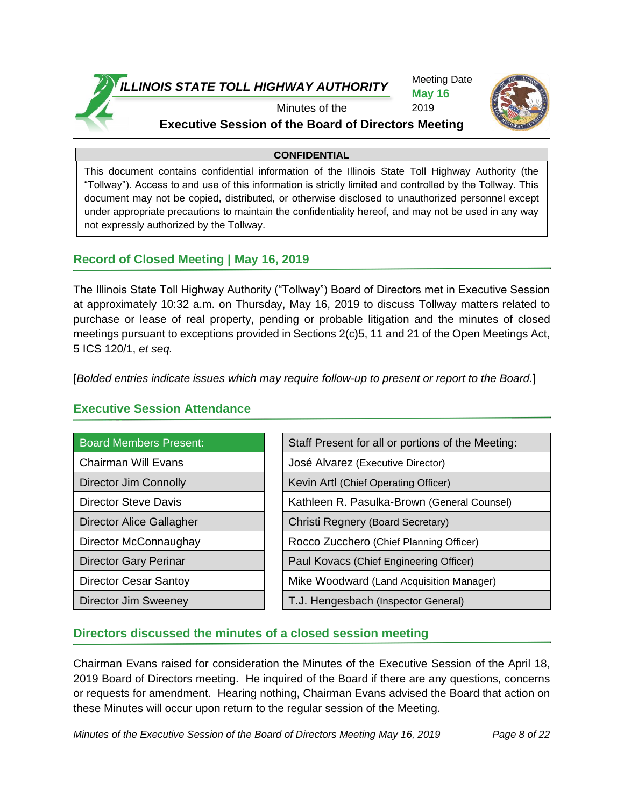

Meeting Date **May 16** 2019



## Minutes of the **Executive Session of the Board of Directors Meeting**

#### **CONFIDENTIAL**

This document contains confidential information of the Illinois State Toll Highway Authority (the "Tollway"). Access to and use of this information is strictly limited and controlled by the Tollway. This document may not be copied, distributed, or otherwise disclosed to unauthorized personnel except under appropriate precautions to maintain the confidentiality hereof, and may not be used in any way not expressly authorized by the Tollway.

# **Record of Closed Meeting | May 16, 2019**

The Illinois State Toll Highway Authority ("Tollway") Board of Directors met in Executive Session at approximately 10:32 a.m. on Thursday, May 16, 2019 to discuss Tollway matters related to purchase or lease of real property, pending or probable litigation and the minutes of closed meetings pursuant to exceptions provided in Sections 2(c)5, 11 and 21 of the Open Meetings Act, 5 ICS 120/1, *et seq.*

[*Bolded entries indicate issues which may require follow-up to present or report to the Board.*]

| <b>Board Members Present:</b> | Staff Present for all or portions of the Meeting: |
|-------------------------------|---------------------------------------------------|
| Chairman Will Evans           | José Alvarez (Executive Director)                 |
| Director Jim Connolly         | Kevin Artl (Chief Operating Officer)              |
| <b>Director Steve Davis</b>   | Kathleen R. Pasulka-Brown (General Counsel)       |
| Director Alice Gallagher      | Christi Regnery (Board Secretary)                 |
| Director McConnaughay         | Rocco Zucchero (Chief Planning Officer)           |
| <b>Director Gary Perinar</b>  | Paul Kovacs (Chief Engineering Officer)           |
| <b>Director Cesar Santoy</b>  | Mike Woodward (Land Acquisition Manager)          |
| Director Jim Sweeney          | T.J. Hengesbach (Inspector General)               |

# **Executive Session Attendance**

# **Directors discussed the minutes of a closed session meeting**

Chairman Evans raised for consideration the Minutes of the Executive Session of the April 18, 2019 Board of Directors meeting. He inquired of the Board if there are any questions, concerns or requests for amendment. Hearing nothing, Chairman Evans advised the Board that action on these Minutes will occur upon return to the regular session of the Meeting.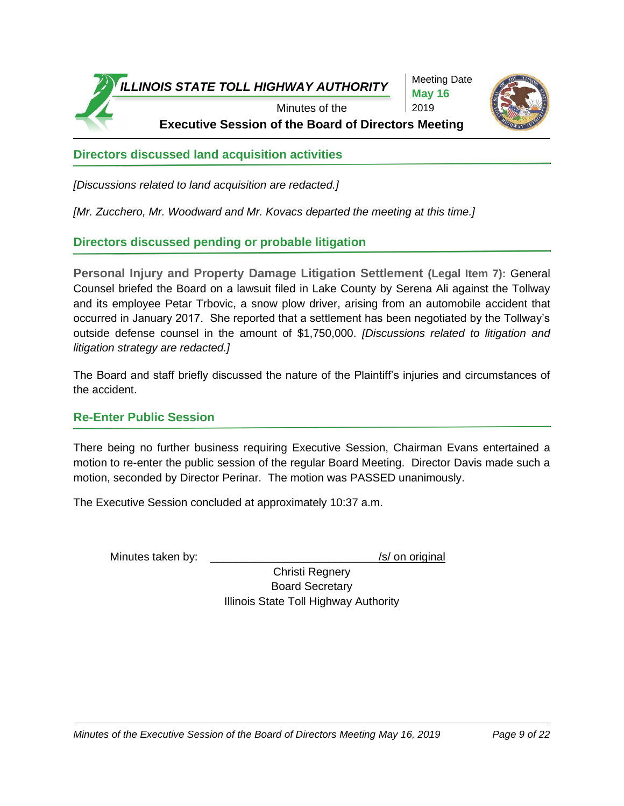

Meeting Date **May 16** 2019



**Executive Session of the Board of Directors Meeting**

**Directors discussed land acquisition activities**

*[Discussions related to land acquisition are redacted.]*

*[Mr. Zucchero, Mr. Woodward and Mr. Kovacs departed the meeting at this time.]*

**Directors discussed pending or probable litigation**

**Personal Injury and Property Damage Litigation Settlement (Legal Item 7):** General Counsel briefed the Board on a lawsuit filed in Lake County by Serena Ali against the Tollway and its employee Petar Trbovic, a snow plow driver, arising from an automobile accident that occurred in January 2017. She reported that a settlement has been negotiated by the Tollway's outside defense counsel in the amount of \$1,750,000. *[Discussions related to litigation and litigation strategy are redacted.]*

The Board and staff briefly discussed the nature of the Plaintiff's injuries and circumstances of the accident.

# **Re-Enter Public Session**

There being no further business requiring Executive Session, Chairman Evans entertained a motion to re-enter the public session of the regular Board Meeting. Director Davis made such a motion, seconded by Director Perinar. The motion was PASSED unanimously.

The Executive Session concluded at approximately 10:37 a.m.

Minutes taken by:  $\frac{1}{s}$  /s/ on original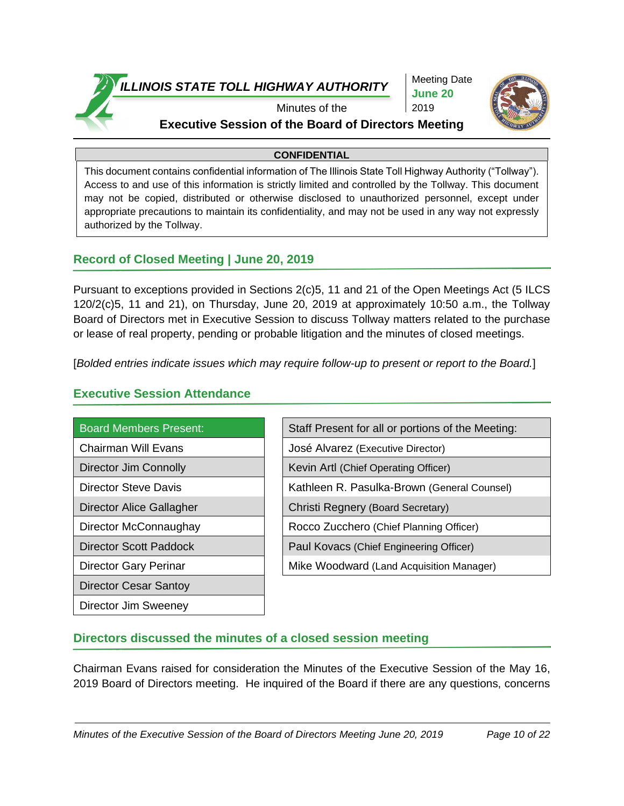

Meeting Date **June 20** 2019



### Minutes of the **Executive Session of the Board of Directors Meeting**

#### **CONFIDENTIAL**

This document contains confidential information of The Illinois State Toll Highway Authority ("Tollway"). Access to and use of this information is strictly limited and controlled by the Tollway. This document may not be copied, distributed or otherwise disclosed to unauthorized personnel, except under appropriate precautions to maintain its confidentiality, and may not be used in any way not expressly authorized by the Tollway.

## **Record of Closed Meeting | June 20, 2019**

Pursuant to exceptions provided in Sections 2(c)5, 11 and 21 of the Open Meetings Act (5 ILCS 120/2(c)5, 11 and 21), on Thursday, June 20, 2019 at approximately 10:50 a.m., the Tollway Board of Directors met in Executive Session to discuss Tollway matters related to the purchase or lease of real property, pending or probable litigation and the minutes of closed meetings.

[*Bolded entries indicate issues which may require follow-up to present or report to the Board.*]

# **Executive Session Attendance**

| <b>Board Members Present:</b> | Staff Present for all or portions of |
|-------------------------------|--------------------------------------|
| <b>Chairman Will Evans</b>    | José Alvarez (Executive Director)    |
| Director Jim Connolly         | Kevin Artl (Chief Operating Officer) |
| <b>Director Steve Davis</b>   | Kathleen R. Pasulka-Brown (Gen       |
| Director Alice Gallagher      | Christi Regnery (Board Secretary)    |
| Director McConnaughay         | Rocco Zucchero (Chief Planning C     |
| <b>Director Scott Paddock</b> | Paul Kovacs (Chief Engineering Of    |
| <b>Director Gary Perinar</b>  | Mike Woodward (Land Acquisition      |
| <b>Director Cesar Santoy</b>  |                                      |
| Director Jim Sweeney          |                                      |

| <b>Board Members Present:</b> | Staff Present for all or portions of the Meeting: |
|-------------------------------|---------------------------------------------------|
| Chairman Will Evans           | José Alvarez (Executive Director)                 |
| <b>Director Jim Connolly</b>  | Kevin Artl (Chief Operating Officer)              |
| <b>Director Steve Davis</b>   | Kathleen R. Pasulka-Brown (General Counsel)       |
| Director Alice Gallagher      | Christi Regnery (Board Secretary)                 |
| Director McConnaughay         | Rocco Zucchero (Chief Planning Officer)           |
| <b>Director Scott Paddock</b> | Paul Kovacs (Chief Engineering Officer)           |
| Director Gary Perinar         | Mike Woodward (Land Acquisition Manager)          |
|                               |                                                   |

# **Directors discussed the minutes of a closed session meeting**

Chairman Evans raised for consideration the Minutes of the Executive Session of the May 16, 2019 Board of Directors meeting. He inquired of the Board if there are any questions, concerns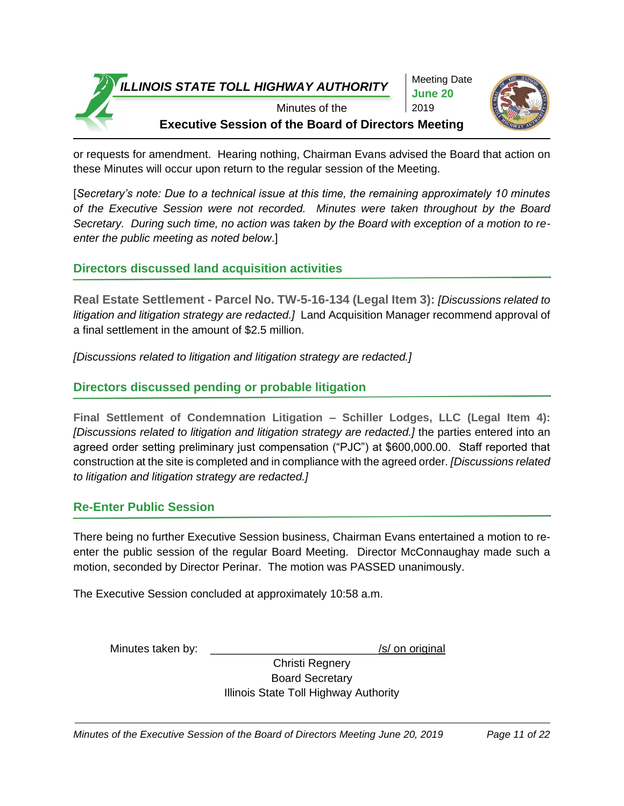

Meeting Date **June 20** 2019



Minutes of the **Executive Session of the Board of Directors Meeting**

or requests for amendment. Hearing nothing, Chairman Evans advised the Board that action on these Minutes will occur upon return to the regular session of the Meeting.

[*Secretary's note: Due to a technical issue at this time, the remaining approximately 10 minutes of the Executive Session were not recorded. Minutes were taken throughout by the Board Secretary. During such time, no action was taken by the Board with exception of a motion to reenter the public meeting as noted below*.]

# **Directors discussed land acquisition activities**

**Real Estate Settlement - Parcel No. TW-5-16-134 (Legal Item 3):** *[Discussions related to litigation and litigation strategy are redacted.]* Land Acquisition Manager recommend approval of a final settlement in the amount of \$2.5 million.

*[Discussions related to litigation and litigation strategy are redacted.]*

# **Directors discussed pending or probable litigation**

**Final Settlement of Condemnation Litigation – Schiller Lodges, LLC (Legal Item 4):** *[Discussions related to litigation and litigation strategy are redacted.]* the parties entered into an agreed order setting preliminary just compensation ("PJC") at \$600,000.00. Staff reported that construction at the site is completed and in compliance with the agreed order. *[Discussions related to litigation and litigation strategy are redacted.]* 

# **Re-Enter Public Session**

There being no further Executive Session business, Chairman Evans entertained a motion to reenter the public session of the regular Board Meeting. Director McConnaughay made such a motion, seconded by Director Perinar. The motion was PASSED unanimously.

The Executive Session concluded at approximately 10:58 a.m.

Minutes taken by: \_\_\_\_\_\_\_\_\_\_\_\_\_\_\_\_\_\_\_\_\_\_\_\_\_\_\_/s/ on original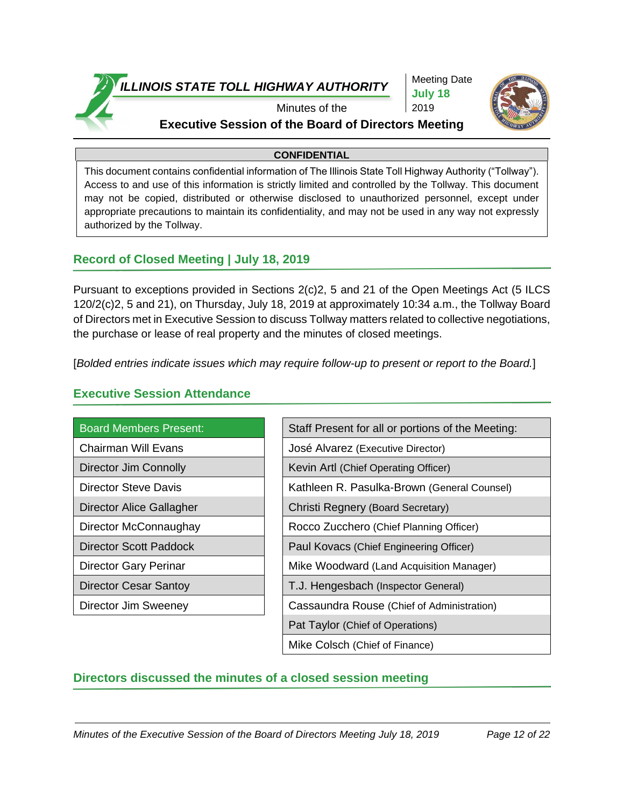

Meeting Date **July 18** 2019



# Minutes of the **Executive Session of the Board of Directors Meeting**

#### **CONFIDENTIAL**

This document contains confidential information of The Illinois State Toll Highway Authority ("Tollway"). Access to and use of this information is strictly limited and controlled by the Tollway. This document may not be copied, distributed or otherwise disclosed to unauthorized personnel, except under appropriate precautions to maintain its confidentiality, and may not be used in any way not expressly authorized by the Tollway.

## **Record of Closed Meeting | July 18, 2019**

Pursuant to exceptions provided in Sections 2(c)2, 5 and 21 of the Open Meetings Act (5 ILCS 120/2(c)2, 5 and 21), on Thursday, July 18, 2019 at approximately 10:34 a.m., the Tollway Board of Directors met in Executive Session to discuss Tollway matters related to collective negotiations, the purchase or lease of real property and the minutes of closed meetings.

[*Bolded entries indicate issues which may require follow-up to present or report to the Board.*]

## **Executive Session Attendance**

| <b>Board Members Present:</b> | Staff Present for all or portions of the M |
|-------------------------------|--------------------------------------------|
| <b>Chairman Will Evans</b>    | José Alvarez (Executive Director)          |
| Director Jim Connolly         | Kevin Artl (Chief Operating Officer)       |
| <b>Director Steve Davis</b>   | Kathleen R. Pasulka-Brown (General C       |
| Director Alice Gallagher      | Christi Regnery (Board Secretary)          |
| Director McConnaughay         | Rocco Zucchero (Chief Planning Officer)    |
| Director Scott Paddock        | Paul Kovacs (Chief Engineering Officer)    |
| <b>Director Gary Perinar</b>  | Mike Woodward (Land Acquisition Mana       |
| <b>Director Cesar Santoy</b>  | T.J. Hengesbach (Inspector General)        |
| Director Jim Sweeney          | Cassaundra Rouse (Chief of Administrat     |
|                               |                                            |

| <b>Board Members Present:</b> | Staff Present for all or portions of the Meeting: |
|-------------------------------|---------------------------------------------------|
| Chairman Will Evans           | José Alvarez (Executive Director)                 |
| <b>Director Jim Connolly</b>  | Kevin Artl (Chief Operating Officer)              |
| Director Steve Davis          | Kathleen R. Pasulka-Brown (General Counsel)       |
| Director Alice Gallagher      | Christi Regnery (Board Secretary)                 |
| Director McConnaughay         | Rocco Zucchero (Chief Planning Officer)           |
| <b>Director Scott Paddock</b> | Paul Kovacs (Chief Engineering Officer)           |
| Director Gary Perinar         | Mike Woodward (Land Acquisition Manager)          |
| <b>Director Cesar Santoy</b>  | T.J. Hengesbach (Inspector General)               |
| Director Jim Sweeney          | Cassaundra Rouse (Chief of Administration)        |
|                               | Pat Taylor (Chief of Operations)                  |
|                               | Mike Colsch (Chief of Finance)                    |

# **Directors discussed the minutes of a closed session meeting**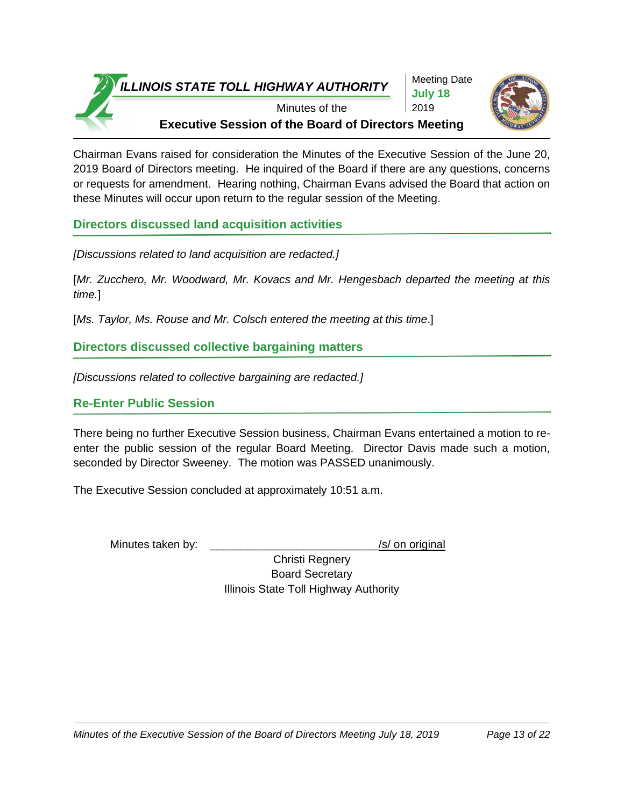Meeting Date **July 18** 2019



Minutes of the **Executive Session of the Board of Directors Meeting**

Chairman Evans raised for consideration the Minutes of the Executive Session of the June 20, 2019 Board of Directors meeting. He inquired of the Board if there are any questions, concerns or requests for amendment. Hearing nothing, Chairman Evans advised the Board that action on these Minutes will occur upon return to the regular session of the Meeting.

**Directors discussed land acquisition activities**

*[Discussions related to land acquisition are redacted.]*

[*Mr. Zucchero, Mr. Woodward, Mr. Kovacs and Mr. Hengesbach departed the meeting at this time.*]

[Ms. Taylor, Ms. Rouse and Mr. Colsch entered the meeting at this time.]

**Directors discussed collective bargaining matters**

*[Discussions related to collective bargaining are redacted.]*

# **Re-Enter Public Session**

There being no further Executive Session business, Chairman Evans entertained a motion to reenter the public session of the regular Board Meeting. Director Davis made such a motion, seconded by Director Sweeney. The motion was PASSED unanimously.

The Executive Session concluded at approximately 10:51 a.m.

Minutes taken by: \_\_\_\_\_\_\_\_\_\_\_\_\_\_\_\_\_\_\_\_\_\_\_\_\_\_\_/s/ on original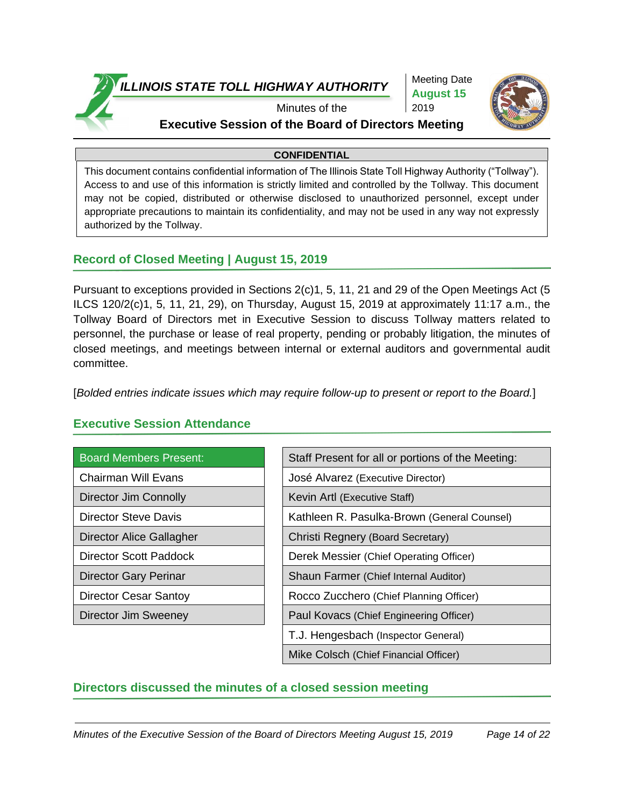

Meeting Date **August 15** 2019



# Minutes of the **Executive Session of the Board of Directors Meeting**

#### **CONFIDENTIAL**

This document contains confidential information of The Illinois State Toll Highway Authority ("Tollway"). Access to and use of this information is strictly limited and controlled by the Tollway. This document may not be copied, distributed or otherwise disclosed to unauthorized personnel, except under appropriate precautions to maintain its confidentiality, and may not be used in any way not expressly authorized by the Tollway.

## **Record of Closed Meeting | August 15, 2019**

Pursuant to exceptions provided in Sections 2(c)1, 5, 11, 21 and 29 of the Open Meetings Act (5 ILCS 120/2(c)1, 5, 11, 21, 29), on Thursday, August 15, 2019 at approximately 11:17 a.m., the Tollway Board of Directors met in Executive Session to discuss Tollway matters related to personnel, the purchase or lease of real property, pending or probably litigation, the minutes of closed meetings, and meetings between internal or external auditors and governmental audit committee.

[*Bolded entries indicate issues which may require follow-up to present or report to the Board.*]

| <b>Board Members Present:</b> | Staff Present for all or portions of the Meeting: |
|-------------------------------|---------------------------------------------------|
| <b>Chairman Will Evans</b>    | José Alvarez (Executive Director)                 |
| Director Jim Connolly         | Kevin Artl (Executive Staff)                      |
| <b>Director Steve Davis</b>   | Kathleen R. Pasulka-Brown (General Counsel)       |
| Director Alice Gallagher      | Christi Regnery (Board Secretary)                 |
| <b>Director Scott Paddock</b> | Derek Messier (Chief Operating Officer)           |
| Director Gary Perinar         | Shaun Farmer (Chief Internal Auditor)             |
| Director Cesar Santoy         | Rocco Zucchero (Chief Planning Officer)           |
| Director Jim Sweeney          | Paul Kovacs (Chief Engineering Officer)           |
|                               | T.J. Hengesbach (Inspector General)               |
|                               | Mike Colsch (Chief Financial Officer)             |

# **Executive Session Attendance**

# **Directors discussed the minutes of a closed session meeting**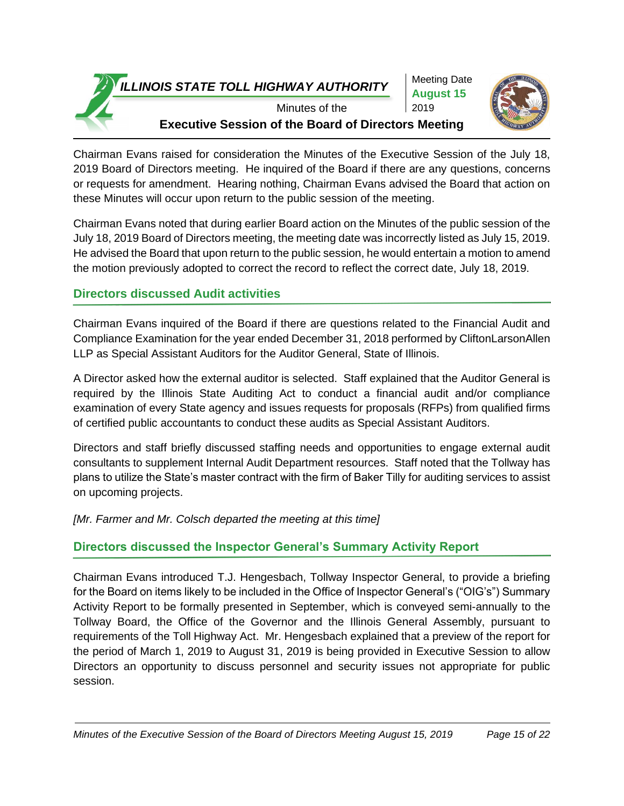Meeting Date **August 15** 2019



Minutes of the **Executive Session of the Board of Directors Meeting**

Chairman Evans raised for consideration the Minutes of the Executive Session of the July 18, 2019 Board of Directors meeting. He inquired of the Board if there are any questions, concerns or requests for amendment. Hearing nothing, Chairman Evans advised the Board that action on these Minutes will occur upon return to the public session of the meeting.

Chairman Evans noted that during earlier Board action on the Minutes of the public session of the July 18, 2019 Board of Directors meeting, the meeting date was incorrectly listed as July 15, 2019. He advised the Board that upon return to the public session, he would entertain a motion to amend the motion previously adopted to correct the record to reflect the correct date, July 18, 2019.

# **Directors discussed Audit activities**

Chairman Evans inquired of the Board if there are questions related to the Financial Audit and Compliance Examination for the year ended December 31, 2018 performed by CliftonLarsonAllen LLP as Special Assistant Auditors for the Auditor General, State of Illinois.

A Director asked how the external auditor is selected. Staff explained that the Auditor General is required by the Illinois State Auditing Act to conduct a financial audit and/or compliance examination of every State agency and issues requests for proposals (RFPs) from qualified firms of certified public accountants to conduct these audits as Special Assistant Auditors.

Directors and staff briefly discussed staffing needs and opportunities to engage external audit consultants to supplement Internal Audit Department resources. Staff noted that the Tollway has plans to utilize the State's master contract with the firm of Baker Tilly for auditing services to assist on upcoming projects.

*[Mr. Farmer and Mr. Colsch departed the meeting at this time]* 

# **Directors discussed the Inspector General's Summary Activity Report**

Chairman Evans introduced T.J. Hengesbach, Tollway Inspector General, to provide a briefing for the Board on items likely to be included in the Office of Inspector General's ("OIG's") Summary Activity Report to be formally presented in September, which is conveyed semi-annually to the Tollway Board, the Office of the Governor and the Illinois General Assembly, pursuant to requirements of the Toll Highway Act. Mr. Hengesbach explained that a preview of the report for the period of March 1, 2019 to August 31, 2019 is being provided in Executive Session to allow Directors an opportunity to discuss personnel and security issues not appropriate for public session.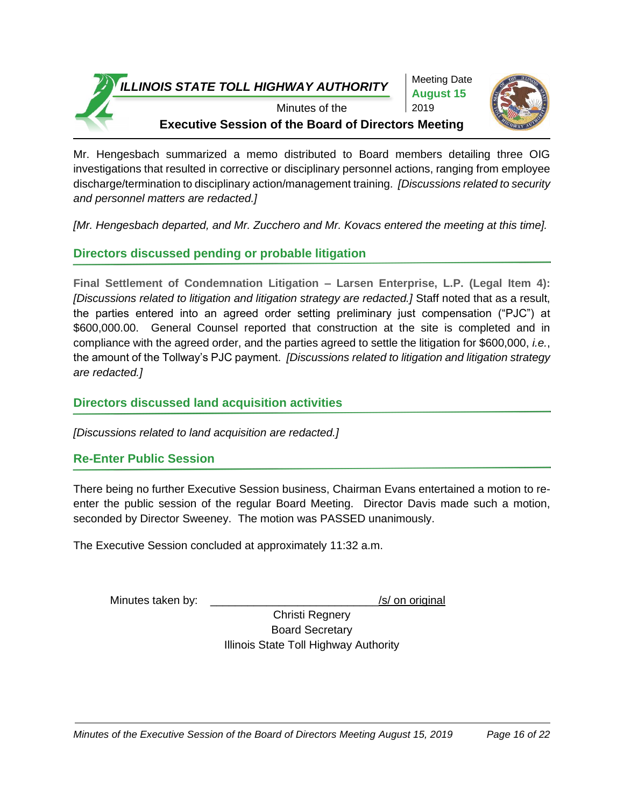Meeting Date **August 15** 2019



Minutes of the **Executive Session of the Board of Directors Meeting**

Mr. Hengesbach summarized a memo distributed to Board members detailing three OIG investigations that resulted in corrective or disciplinary personnel actions, ranging from employee discharge/termination to disciplinary action/management training. *[Discussions related to security and personnel matters are redacted.]* 

*[Mr. Hengesbach departed, and Mr. Zucchero and Mr. Kovacs entered the meeting at this time].*

# **Directors discussed pending or probable litigation**

**Final Settlement of Condemnation Litigation – Larsen Enterprise, L.P. (Legal Item 4):** *[Discussions related to litigation and litigation strategy are redacted.]* Staff noted that as a result, the parties entered into an agreed order setting preliminary just compensation ("PJC") at \$600,000.00. General Counsel reported that construction at the site is completed and in compliance with the agreed order, and the parties agreed to settle the litigation for \$600,000, *i.e.*, the amount of the Tollway's PJC payment. *[Discussions related to litigation and litigation strategy are redacted.]*

## **Directors discussed land acquisition activities**

*[Discussions related to land acquisition are redacted.]*

### **Re-Enter Public Session**

There being no further Executive Session business, Chairman Evans entertained a motion to reenter the public session of the regular Board Meeting. Director Davis made such a motion, seconded by Director Sweeney. The motion was PASSED unanimously.

The Executive Session concluded at approximately 11:32 a.m.

Minutes taken by:  $\frac{1}{s}$  Minutes taken by: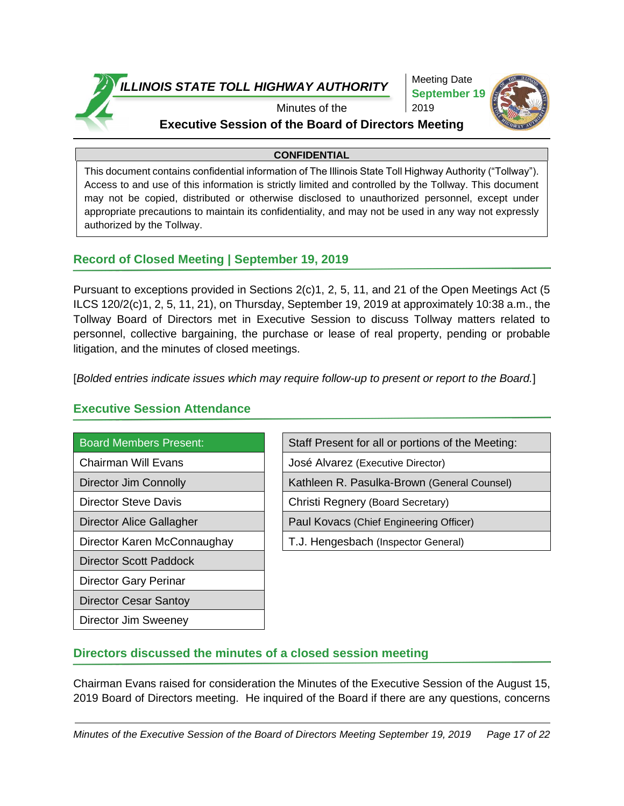

Meeting Date **September 19** 2019



## Minutes of the **Executive Session of the Board of Directors Meeting**

#### **CONFIDENTIAL**

This document contains confidential information of The Illinois State Toll Highway Authority ("Tollway"). Access to and use of this information is strictly limited and controlled by the Tollway. This document may not be copied, distributed or otherwise disclosed to unauthorized personnel, except under appropriate precautions to maintain its confidentiality, and may not be used in any way not expressly authorized by the Tollway.

## **Record of Closed Meeting | September 19, 2019**

Pursuant to exceptions provided in Sections 2(c)1, 2, 5, 11, and 21 of the Open Meetings Act (5 ILCS 120/2(c)1, 2, 5, 11, 21), on Thursday, September 19, 2019 at approximately 10:38 a.m., the Tollway Board of Directors met in Executive Session to discuss Tollway matters related to personnel, collective bargaining, the purchase or lease of real property, pending or probable litigation, and the minutes of closed meetings.

[*Bolded entries indicate issues which may require follow-up to present or report to the Board.*]

### **Executive Session Attendance**

| <b>Board Members Present:</b>   |
|---------------------------------|
| <b>Chairman Will Evans</b>      |
| <b>Director Jim Connolly</b>    |
| <b>Director Steve Davis</b>     |
| <b>Director Alice Gallagher</b> |
| Director Karen McConnaughay     |
| Director Scott Paddock          |

Staff Present for all or portions of the Meeting: José Alvarez (Executive Director) Kathleen R. Pasulka-Brown (General Counsel) Christi Regnery (Board Secretary) Paul Kovacs (Chief Engineering Officer) T.J. Hengesbach (Inspector General)

### Director Gary Perinar

Director Cesar Santoy

Director Jim Sweeney

# **Directors discussed the minutes of a closed session meeting**

Chairman Evans raised for consideration the Minutes of the Executive Session of the August 15, 2019 Board of Directors meeting. He inquired of the Board if there are any questions, concerns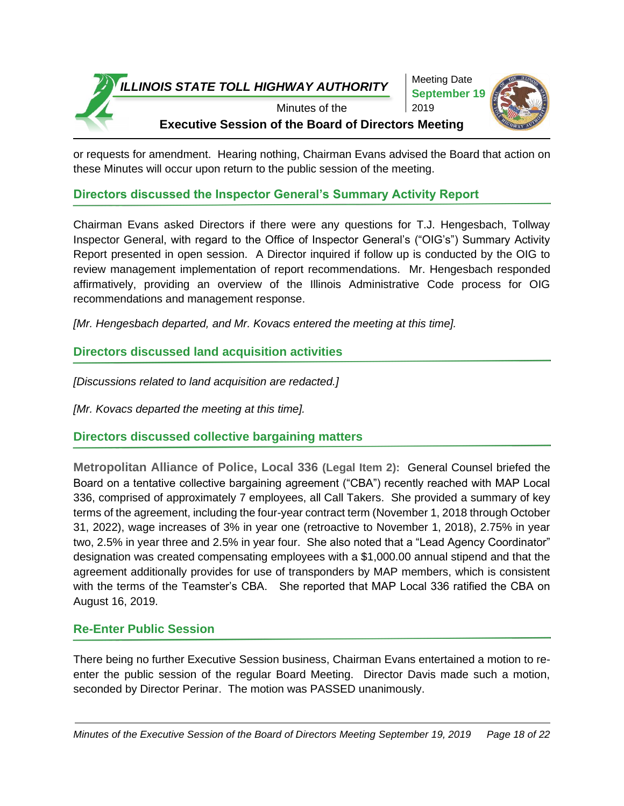

Meeting Date **September 19** 2019



Minutes of the **Executive Session of the Board of Directors Meeting**

or requests for amendment. Hearing nothing, Chairman Evans advised the Board that action on these Minutes will occur upon return to the public session of the meeting.

## **Directors discussed the Inspector General's Summary Activity Report**

Chairman Evans asked Directors if there were any questions for T.J. Hengesbach, Tollway Inspector General, with regard to the Office of Inspector General's ("OIG's") Summary Activity Report presented in open session. A Director inquired if follow up is conducted by the OIG to review management implementation of report recommendations. Mr. Hengesbach responded affirmatively, providing an overview of the Illinois Administrative Code process for OIG recommendations and management response.

*[Mr. Hengesbach departed, and Mr. Kovacs entered the meeting at this time].*

# **Directors discussed land acquisition activities**

*[Discussions related to land acquisition are redacted.]*

*[Mr. Kovacs departed the meeting at this time].*

**Directors discussed collective bargaining matters** 

**Metropolitan Alliance of Police, Local 336 (Legal Item 2):** General Counsel briefed the Board on a tentative collective bargaining agreement ("CBA") recently reached with MAP Local 336, comprised of approximately 7 employees, all Call Takers. She provided a summary of key terms of the agreement, including the four-year contract term (November 1, 2018 through October 31, 2022), wage increases of 3% in year one (retroactive to November 1, 2018), 2.75% in year two, 2.5% in year three and 2.5% in year four. She also noted that a "Lead Agency Coordinator" designation was created compensating employees with a \$1,000.00 annual stipend and that the agreement additionally provides for use of transponders by MAP members, which is consistent with the terms of the Teamster's CBA. She reported that MAP Local 336 ratified the CBA on August 16, 2019.

# **Re-Enter Public Session**

There being no further Executive Session business, Chairman Evans entertained a motion to reenter the public session of the regular Board Meeting. Director Davis made such a motion, seconded by Director Perinar. The motion was PASSED unanimously.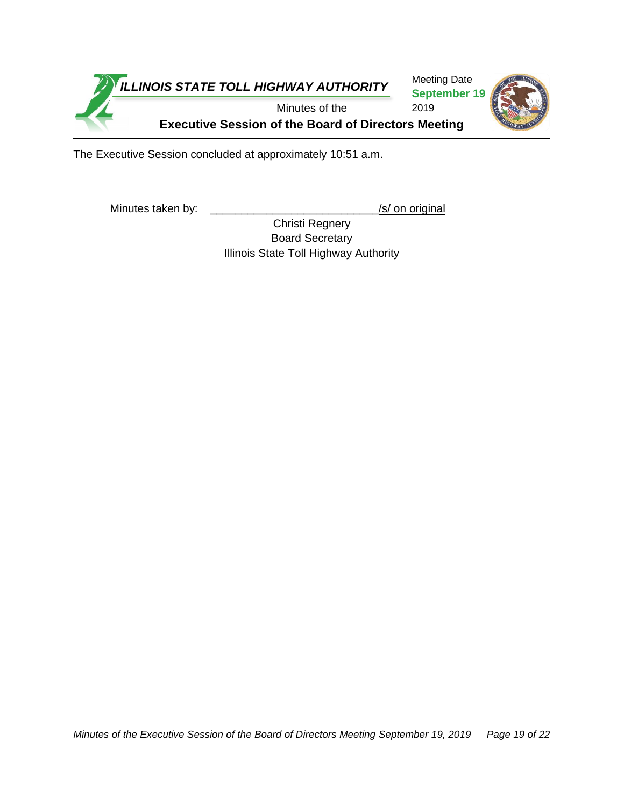

The Executive Session concluded at approximately 10:51 a.m.

Minutes taken by: \_\_\_\_\_\_\_\_\_\_\_\_\_\_\_\_\_\_\_\_\_\_\_\_\_\_\_\_\_\_\_\_\_/s/ on original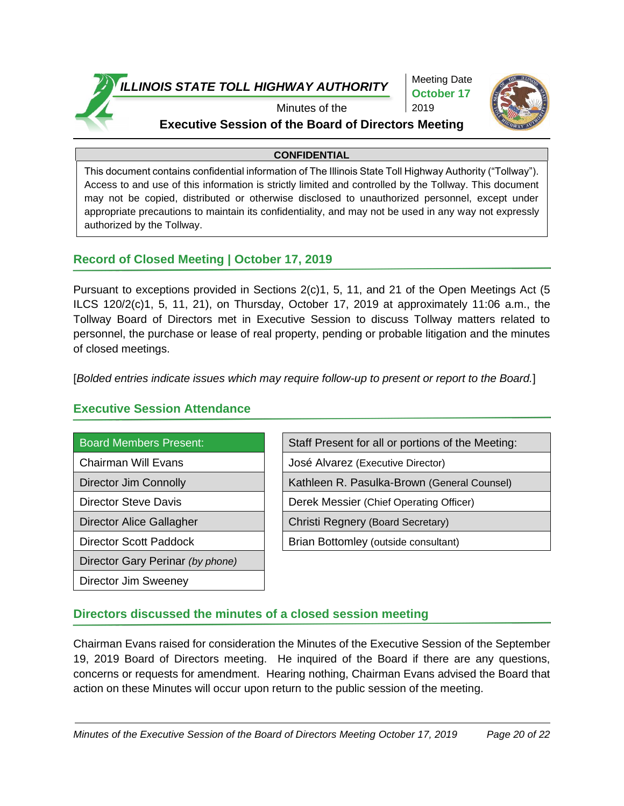

Meeting Date **October 17** 2019



## Minutes of the **Executive Session of the Board of Directors Meeting**

#### **CONFIDENTIAL**

This document contains confidential information of The Illinois State Toll Highway Authority ("Tollway"). Access to and use of this information is strictly limited and controlled by the Tollway. This document may not be copied, distributed or otherwise disclosed to unauthorized personnel, except under appropriate precautions to maintain its confidentiality, and may not be used in any way not expressly authorized by the Tollway.

## **Record of Closed Meeting | October 17, 2019**

Pursuant to exceptions provided in Sections 2(c)1, 5, 11, and 21 of the Open Meetings Act (5 ILCS 120/2(c)1, 5, 11, 21), on Thursday, October 17, 2019 at approximately 11:06 a.m., the Tollway Board of Directors met in Executive Session to discuss Tollway matters related to personnel, the purchase or lease of real property, pending or probable litigation and the minutes of closed meetings.

[*Bolded entries indicate issues which may require follow-up to present or report to the Board.*]

### **Executive Session Attendance**

| <b>Board Members Present:</b>   | Staff Present for all or portions o |
|---------------------------------|-------------------------------------|
| <b>Chairman Will Evans</b>      | José Alvarez (Executive Director)   |
| <b>Director Jim Connolly</b>    | Kathleen R. Pasulka-Brown (Ger      |
| <b>Director Steve Davis</b>     | Derek Messier (Chief Operating O    |
| <b>Director Alice Gallagher</b> | Christi Regnery (Board Secretary)   |
| <b>Director Scott Paddock</b>   | Brian Bottomley (outside consultar  |
|                                 |                                     |

Director Gary Perinar *(by phone)*

Director Jim Sweeney

| <b>Board Members Present:</b>   | Staff Present for all or portions of the Meeting: |
|---------------------------------|---------------------------------------------------|
| <b>Chairman Will Evans</b>      | José Alvarez (Executive Director)                 |
| <b>Director Jim Connolly</b>    | Kathleen R. Pasulka-Brown (General Counsel)       |
| <b>Director Steve Davis</b>     | Derek Messier (Chief Operating Officer)           |
| <b>Director Alice Gallagher</b> | Christi Regnery (Board Secretary)                 |
| <b>Director Scott Paddock</b>   | Brian Bottomley (outside consultant)              |
|                                 |                                                   |

# **Directors discussed the minutes of a closed session meeting**

Chairman Evans raised for consideration the Minutes of the Executive Session of the September 19, 2019 Board of Directors meeting. He inquired of the Board if there are any questions, concerns or requests for amendment. Hearing nothing, Chairman Evans advised the Board that action on these Minutes will occur upon return to the public session of the meeting.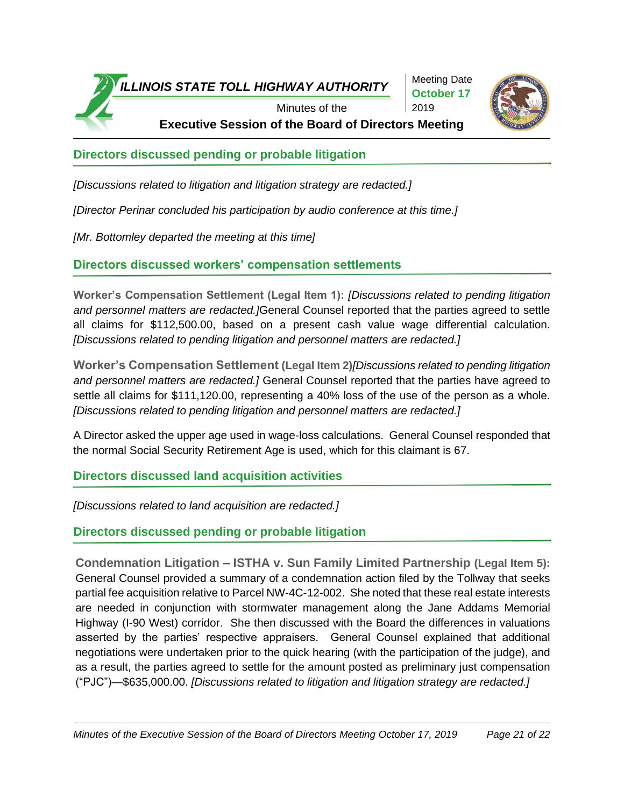

Meeting Date **October 17** 2019



**Executive Session of the Board of Directors Meeting**

**Directors discussed pending or probable litigation** 

*[Discussions related to litigation and litigation strategy are redacted.]*

*[Director Perinar concluded his participation by audio conference at this time.]*

*[Mr. Bottomley departed the meeting at this time]*

**Directors discussed workers' compensation settlements** 

**Worker's Compensation Settlement (Legal Item 1):** *[Discussions related to pending litigation and personnel matters are redacted.]*General Counsel reported that the parties agreed to settle all claims for \$112,500.00, based on a present cash value wage differential calculation. *[Discussions related to pending litigation and personnel matters are redacted.]* 

**Worker's Compensation Settlement (Legal Item 2)***[Discussions related to pending litigation and personnel matters are redacted.]* General Counsel reported that the parties have agreed to settle all claims for \$111,120.00, representing a 40% loss of the use of the person as a whole. *[Discussions related to pending litigation and personnel matters are redacted.]* 

A Director asked the upper age used in wage-loss calculations. General Counsel responded that the normal Social Security Retirement Age is used, which for this claimant is 67.

**Directors discussed land acquisition activities**

*[Discussions related to land acquisition are redacted.]*

**Directors discussed pending or probable litigation** 

**Condemnation Litigation – ISTHA v. Sun Family Limited Partnership (Legal Item 5):** General Counsel provided a summary of a condemnation action filed by the Tollway that seeks partial fee acquisition relative to Parcel NW-4C-12-002. She noted that these real estate interests are needed in conjunction with stormwater management along the Jane Addams Memorial Highway (I-90 West) corridor. She then discussed with the Board the differences in valuations asserted by the parties' respective appraisers. General Counsel explained that additional negotiations were undertaken prior to the quick hearing (with the participation of the judge), and as a result, the parties agreed to settle for the amount posted as preliminary just compensation ("PJC")—\$635,000.00. *[Discussions related to litigation and litigation strategy are redacted.]*